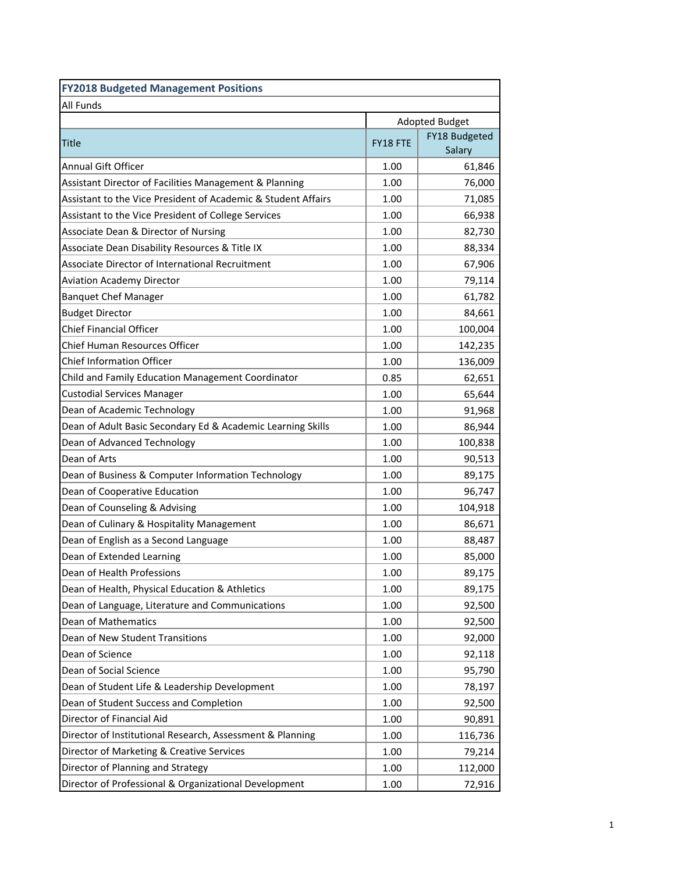| <b>FY2018 Budgeted Management Positions</b>                   |                       |               |  |
|---------------------------------------------------------------|-----------------------|---------------|--|
| <b>All Funds</b>                                              |                       |               |  |
|                                                               | <b>Adopted Budget</b> |               |  |
| Title                                                         | FY18 FTE              | FY18 Budgeted |  |
|                                                               |                       | Salary        |  |
| <b>Annual Gift Officer</b>                                    | 1.00                  | 61,846        |  |
| Assistant Director of Facilities Management & Planning        | 1.00                  | 76,000        |  |
| Assistant to the Vice President of Academic & Student Affairs | 1.00                  | 71,085        |  |
| Assistant to the Vice President of College Services           | 1.00                  | 66,938        |  |
| <b>Associate Dean &amp; Director of Nursing</b>               | 1.00                  | 82,730        |  |
| Associate Dean Disability Resources & Title IX                | 1.00                  | 88,334        |  |
| Associate Director of International Recruitment               | 1.00                  | 67,906        |  |
| <b>Aviation Academy Director</b>                              | 1.00                  | 79,114        |  |
| <b>Banquet Chef Manager</b>                                   | 1.00                  | 61,782        |  |
| <b>Budget Director</b>                                        | 1.00                  | 84,661        |  |
| <b>Chief Financial Officer</b>                                | 1.00                  | 100,004       |  |
| <b>Chief Human Resources Officer</b>                          | 1.00                  | 142,235       |  |
| <b>Chief Information Officer</b>                              | 1.00                  | 136,009       |  |
| Child and Family Education Management Coordinator             | 0.85                  | 62,651        |  |
| <b>Custodial Services Manager</b>                             | 1.00                  | 65,644        |  |
| Dean of Academic Technology                                   | 1.00                  | 91,968        |  |
| Dean of Adult Basic Secondary Ed & Academic Learning Skills   | 1.00                  | 86,944        |  |
| Dean of Advanced Technology                                   | 1.00                  | 100,838       |  |
| Dean of Arts                                                  | 1.00                  | 90,513        |  |
| Dean of Business & Computer Information Technology            | 1.00                  | 89,175        |  |
| Dean of Cooperative Education                                 | 1.00                  | 96,747        |  |
| Dean of Counseling & Advising                                 | 1.00                  | 104,918       |  |
| Dean of Culinary & Hospitality Management                     | 1.00                  | 86,671        |  |
| Dean of English as a Second Language                          | 1.00                  | 88,487        |  |
| Dean of Extended Learning                                     | 1.00                  | 85,000        |  |
| Dean of Health Professions                                    | 1.00                  | 89,175        |  |
| Dean of Health, Physical Education & Athletics                | 1.00                  | 89,175        |  |
| Dean of Language, Literature and Communications               | 1.00                  | 92,500        |  |
| Dean of Mathematics                                           | 1.00                  | 92,500        |  |
| Dean of New Student Transitions                               | 1.00                  | 92,000        |  |
| Dean of Science                                               | 1.00                  | 92,118        |  |
| Dean of Social Science                                        | 1.00                  | 95,790        |  |
| Dean of Student Life & Leadership Development                 | 1.00                  | 78,197        |  |
| Dean of Student Success and Completion                        | 1.00                  | 92,500        |  |
| Director of Financial Aid                                     | 1.00                  | 90,891        |  |
| Director of Institutional Research, Assessment & Planning     | 1.00                  | 116,736       |  |
| Director of Marketing & Creative Services                     | 1.00                  | 79,214        |  |
| Director of Planning and Strategy                             | 1.00                  | 112,000       |  |
| Director of Professional & Organizational Development         | 1.00                  | 72,916        |  |